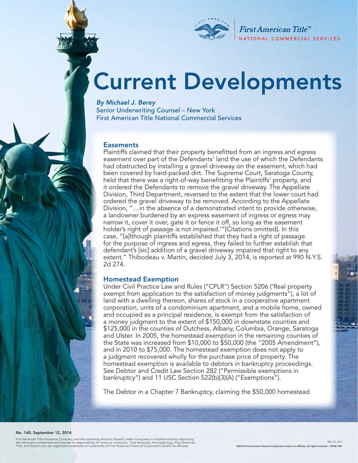

First American Title<sup>™</sup> NATIONAL COMMERCIAL SERVICES

# Current Developments

*By Michael J. Berey*  Senior Underwriting Counsel – New York First American Title National Commercial Services

#### **Easements**

Plaintiffs claimed that their property benefitted from an ingress and egress easement over part of the Defendants' land the use of which the Defendants had obstructed by installing a gravel driveway on the easement, which had been covered by hard-packed dirt. The Supreme Court, Saratoga County, held that there was a right-of-way benefitting the Plaintiffs' property, and it ordered the Defendants to remove the gravel driveway. The Appellate Division, Third Department, reversed to the extent that the lower court had ordered the gravel driveway to be removed. According to the Appellate Division, "…in the absence of a demonstrated intent to provide otherwise, a landowner burdened by an express easement of ingress or egress may narrow it, cover it over, gate it or fence it off, so long as the easement holder's right of passage is not impaired.'"[Citations omitted]. In this case, "[a]lthough plaintiffs established that they had a right of passage for the purpose of ingress and egress, they failed to further establish that defendant's [sic] addition of a gravel driveway impaired that right to any extent." Thibodeau v. Martin, decided July 3, 2014, is reported at 990 N.Y.S. 2d 274.

#### Homestead Exemption

Under Civil Practice Law and Rules ("CPLR") Section 5206 ('Real property exempt from application to the satisfaction of money judgments"), a lot of land with a dwelling thereon, shares of stock in a cooperative apartment corporation, units of a condominium apartment, and a mobile home, owned and occupied as a principal residence, is exempt from the satisfaction of a money judgment to the extent of \$150,000 in downstate counties and \$125,000 in the counties of Dutchess, Albany, Columbia, Orange, Saratoga and Ulster. In 2005, the homestead exemption in the remaining counties of the State was increased from \$10,000 to \$50,000 (the "2005 Amendment"), and in 2010 to \$75,000. The homestead exemption does not apply to a judgment recovered wholly for the purchase price of property. The homestead exemption is available to debtors in bankruptcy proceedings. See Debtor and Credit Law Section 282 ("Permissible exemptions in bankruptcy") and 11 USC Section 522(b)(3)(A) ("Exemptions").

The Debtor in a Chapter 7 Bankruptcy, claiming the \$50,000 homestead

#### No. 160. September 12, 2014

First American Title Insurance Company, and the operating divisions thereof, make no express or implied warranty respecting<br>the information presented and assume no responsibility for errors or omissions. First American, th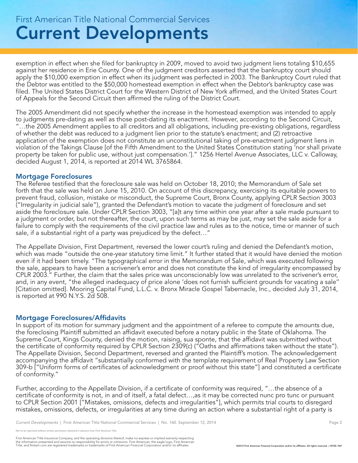## Current Developments First American Title National Commercial Services

exemption in effect when she filed for bankruptcy in 2009, moved to avoid two judgment liens totaling \$10,655 against her residence in Erie County. One of the judgment creditors asserted that the bankruptcy court should apply the \$10,000 exemption in effect when its judgment was perfected in 2003. The Bankruptcy Court ruled that the Debtor was entitled to the \$50,000 homestead exemption in effect when the Debtor's bankruptcy case was filed. The United States District Court for the Western District of New York affirmed, and the United States Court of Appeals for the Second Circuit then affirmed the ruling of the District Court.

The 2005 Amendment did not specify whether the increase in the homestead exemption was intended to apply to judgments pre-dating as well as those post-dating its enactment. However, according to the Second Circuit, "…the 2005 Amendment applies to all creditors and all obligations, including pre-existing obligations, regardless of whether the debt was reduced to a judgment lien prior to the statute's enactment; and (2) retroactive application of the exemption does not constitute an unconstitutional taking of pre-enactment judgment liens in violation of the Takings Clause [of the Fifth Amendment to the United States Constitution stating 'nor shall private property be taken for public use, without just compensation.']." 1256 Hertel Avenue Associates, LLC v. Calloway, decided August 1, 2014, is reported at 2014 WL 3765864.

#### Mortgage Foreclosures

The Referee testified that the foreclosure sale was held on October 18, 2010; the Memorandum of Sale set forth that the sale was held on June 15, 2010. On account of this discrepancy, exercising its equitable powers to prevent fraud, collusion, mistake or misconduct, the Supreme Court, Bronx County, applying CPLR Section 3003 ("Irregularity in judicial sale"), granted the Defendant's motion to vacate the judgment of foreclosure and set aside the foreclosure sale. Under CPLR Section 3003, "[a]t any time within one year after a sale made pursuant to a judgment or order, but not thereafter, the court, upon such terms as may be just, may set the sale aside for a failure to comply with the requirements of the civil practice law and rules as to the notice, time or manner of such sale, if a substantial right of a party was prejudiced by the defect…"

The Appellate Division, First Department, reversed the lower court's ruling and denied the Defendant's motion, which was made "outside the one-year statutory time limit." It further stated that it would have denied the motion even if it had been timely. "The typographical error in the Memorandum of Sale, which was executed following the sale, appears to have been a scrivener's error and does not constitute the kind of irregularity encompassed by CPLR 2003." Further, the claim that the sales price was unconscionably low was unrelated to the scrivener's error, and, in any event, "the alleged inadequacy of price alone 'does not furnish sufficient grounds for vacating a sale'' [Citation omitted]. Mooring Capital Fund, L.L.C. v. Bronx Miracle Gospel Tabernacle, Inc., decided July 31, 2014, is reported at 990 N.Y.S. 2d 508.

#### Mortgage Foreclosures/Affidavits

In support of its motion for summary judgment and the appointment of a referee to compute the amounts due, the foreclosing Plaintiff submitted an affidavit executed before a notary public in the State of Oklahoma. The Supreme Court, Kings County, denied the motion, raising, sua sponte, that the affidavit was submitted without the certificate of conformity required by CPLR Section 2309(c) ("Oaths and affirmations taken without the state"). The Appellate Division, Second Department, reversed and granted the Plaintiff's motion. The acknowledgement accompanying the affidavit "substantially conformed with the template requirement of Real Property Law Section 309-b ["Uniform forms of certificates of acknowledgment or proof without this state"] and constituted a certificate of conformity."

Further, according to the Appellate Division, if a certificate of conformity was required, "…the absence of a certificate of conformity is not, in and of itself, a fatal defect…,as it may be corrected nunc pro tunc or pursuant to CPLR Section 2001 ["Mistakes, omissions, defects and irregularities"], which permits trial courts to disregard mistakes, omissions, defects, or irregularities at any time during an action where a substantial right of a party is

*Current Developments* | First American Title National Commercial Services | No. 160. September 12, 2014 Page 2

reprinted without written permission obtained in advance from First American Title.

First American Title Insurance Company, and the operating divisions thereof, make no express or implied warranty respecting<br>the information presented and assume no responsibility for errors or omissions. First American end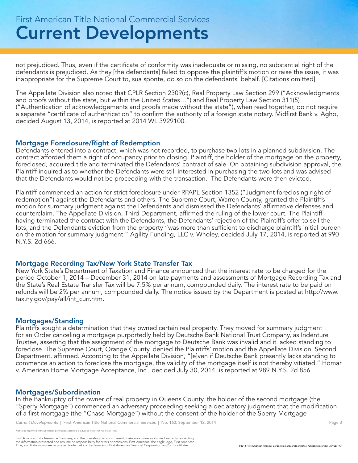not prejudiced. Thus, even if the certificate of conformity was inadequate or missing, no substantial right of the defendants is prejudiced. As they [the defendants] failed to oppose the plaintiff's motion or raise the issue, it was inappropriate for the Supreme Court to, sua sponte, do so on the defendants' behalf. [Citations omitted]

The Appellate Division also noted that CPLR Section 2309(c), Real Property Law Section 299 ("Acknowledgments and proofs without the state, but within the United States…") and Real Property Law Section 311(5) ("Authentication of acknowledgements and proofs made without the state"), when read together, do not require a separate "certificate of authentication" to confirm the authority of a foreign state notary. Midfirst Bank v. Agho, decided August 13, 2014, is reported at 2014 WL 3929100.

#### Mortgage Foreclosure/Right of Redemption

Defendants entered into a contract, which was not recorded, to purchase two lots in a planned subdivision. The contract afforded them a right of occupancy prior to closing. Plaintiff, the holder of the mortgage on the property, foreclosed, acquired title and terminated the Defendants' contract of sale. On obtaining subdivision approval, the Plaintiff inquired as to whether the Defendants were still interested in purchasing the two lots and was advised that the Defendants would not be proceeding with the transaction. The Defendants were then evicted.

Plaintiff commenced an action for strict foreclosure under RPAPL Section 1352 ("Judgment foreclosing right of redemption") against the Defendants and others. The Supreme Court, Warren County, granted the Plaintiff's motion for summary judgment against the Defendants and dismissed the Defendants' affirmative defenses and counterclaim. The Appellate Division, Third Department, affirmed the ruling of the lower court. The Plaintiff having terminated the contract with the Defendants, the Defendants' rejection of the Plaintiff's offer to sell the lots, and the Defendants eviction from the property "was more than sufficient to discharge plaintiff's initial burden on the motion for summary judgment." Agility Funding, LLC v. Wholey, decided July 17, 2014, is reported at 990 N.Y.S. 2d 666.

#### Mortgage Recording Tax/New York State Transfer Tax

New York State's Department of Taxation and Finance announced that the interest rate to be charged for the period October 1, 2014 – December 31, 2014 on late payments and assessments of Mortgage Recording Tax and the State's Real Estate Transfer Tax will be 7.5% per annum, compounded daily. The interest rate to be paid on refunds will be 2% per annum, compounded daily. The notice issued by the Department is posted at http://www. tax.ny.gov/pay/all/int\_curr.htm.

#### Mortgages/Standing

Plaintiffs sought a determination that they owned certain real property. They moved for summary judgment for an Order canceling a mortgage purportedly held by Deutsche Bank National Trust Company, as Indenture Trustee, asserting that the assignment of the mortgage to Deutsche Bank was invalid and it lacked standing to foreclose. The Supreme Court, Orange County, denied the Plaintiffs' motion and the Appellate Division, Second Department. affirmed. According to the Appellate Division, "[e]ven if Deutsche Bank presently lacks standing to commence an action to foreclose the mortgage, the validity of the mortgage itself is not thereby vitiated." Homar v. American Home Mortgage Acceptance, Inc., decided July 30, 2014, is reported at 989 N.Y.S. 2d 856.

#### Mortgages/Subordination

In the Bankruptcy of the owner of real property in Queens County, the holder of the second mortgage (the "Sperry Mortgage") commenced an adversary proceeding seeking a declaratory judgment that the modification of a first mortgage (the "Chase Mortgage") without the consent of the holder of the Sperry Mortgage

*Current Developments* | First American Title National Commercial Services | No. 160. September 12, 2014 **Page 3** Page 3

printed without written permission obtained in advance from First American Title.

First American Title Insurance Company, and the operating divisions thereof, make no express or implied warranty respecting<br>the information presented and assume no responsibility for errors or omissions. First American fin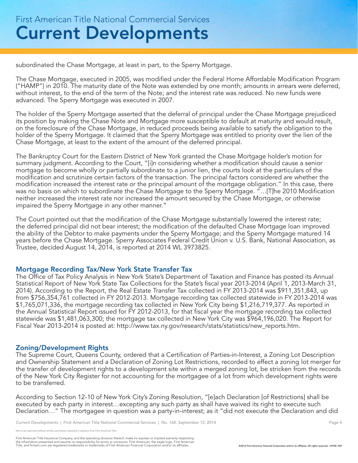subordinated the Chase Mortgage, at least in part, to the Sperry Mortgage.

The Chase Mortgage, executed in 2005, was modified under the Federal Home Affordable Modification Program ("HAMP") in 2010. The maturity date of the Note was extended by one month; amounts in arrears were deferred, without interest, to the end of the term of the Note; and the interest rate was reduced. No new funds were advanced. The Sperry Mortgage was executed in 2007.

The holder of the Sperry Mortgage asserted that the deferral of principal under the Chase Mortgage prejudiced its position by making the Chase Note and Mortgage more susceptible to default at maturity and would result, on the foreclosure of the Chase Mortgage, in reduced proceeds being available to satisfy the obligation to the holder of the Sperry Mortgage. It claimed that the Sperry Mortgage was entitled to priority over the lien of the Chase Mortgage, at least to the extent of the amount of the deferred principal.

The Bankruptcy Court for the Eastern District of New York granted the Chase Mortgage holder's motion for summary judgment. According to the Court, "[i]n considering whether a modification should cause a senior mortgage to become wholly or partially subordinate to a junior lien, the courts look at the particulars of the modification and scrutinize certain factors of the transaction. The principal factors considered are whether the modification increased the interest rate or the principal amount of the mortgage obligation." In this case, there was no basis on which to subordinate the Chase Mortgage to the Sperry Mortgage. "...[T]he 2010 Modification neither increased the interest rate nor increased the amount secured by the Chase Mortgage, or otherwise impaired the Sperry Mortgage in any other manner."

The Court pointed out that the modification of the Chase Mortgage substantially lowered the interest rate; the deferred principal did not bear interest; the modification of the defaulted Chase Mortgage loan improved the ability of the Debtor to make payments under the Sperry Mortgage; and the Sperry Mortgage matured 14 years before the Chase Mortgage. Sperry Associates Federal Credit Union v. U.S. Bank, National Association, as Trustee, decided August 14, 2014, is reported at 2014 WL 3973825.

### Mortgage Recording Tax/New York State Transfer Tax

The Office of Tax Policy Analysis in New York State's Department of Taxation and Finance has posted its Annual Statistical Report of New York State Tax Collections for the State's fiscal year 2013-2014 (April 1, 2013-March 31, 2014). According to the Report, the Real Estate Transfer Tax collected in FY 2013-2014 was \$911,351,843, up from \$756,354,761 collected in FY 2012-2013. Mortgage recording tax collected statewide in FY 2013-2014 was \$1,765,071,336, the mortgage recording tax collected in New York City being \$1,216,719,377. As reported in the Annual Statistical Report issued for FY 2012-2013, for that fiscal year the mortgage recording tax collected statewide was \$1,481,063,300; the mortgage tax collected in New York City was \$964,196,020. The Report for Fiscal Year 2013-2014 is posted at: http://www.tax.ny.gov/research/stats/statistics/new\_reports.htm.

### Zoning/Development Rights

The Supreme Court, Queens County, ordered that a Certification of Parties-in-Interest, a Zoning Lot Description and Ownership Statement and a Declaration of Zoning Lot Restrictions, recorded to effect a zoning lot merger for the transfer of development rights to a development site within a merged zoning lot, be stricken from the records of the New York City Register for not accounting for the mortgagee of a lot from which development rights were to be transferred.

According to Section 12-10 of New York City's Zoning Resolution, "[e]ach Declaration [of Restrictions] shall be executed by each party in interest…excepting any such party as shall have waived its right to execute such Declaration…" The mortgagee in question was a party-in-interest; as it "did not execute the Declaration and did

reprinted without written permission obtained in advance from First American Title.

First American Title Insurance Company, and the operating divisions thereof, make no express or implied warranty respecting<br>the information presented and assume no responsibility for errors or omissions. First American fin